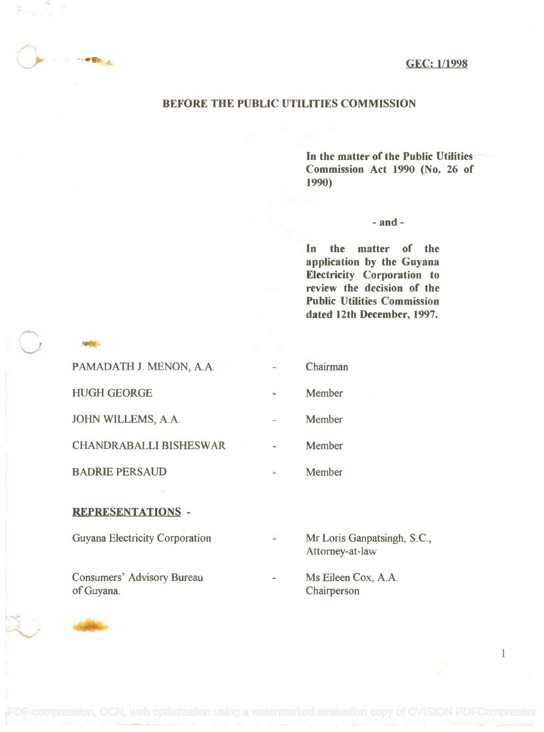GEC: 1/1998

## BEFORE THE PUBLIC UTILITIES COMMISSION

In the matter of the Public Utilities In the matter of the Public Utilities Commission Act 1990 (No. 26 of Commission Act 1990 (No. 26 of 1990) 1990)

- and -

In the matter of the In the matter of the application by the Guyana application by the Guyana Electricity Corporation to Electricity Corporation to review the decision of the Public Utilities Commission Public Utilities Commission dated 12th December, 1997. dated 12th December, 1997.

| PAMADATH J. MENON, A.A.       | Chairman |
|-------------------------------|----------|
| <b>HUGH GEORGE</b>            | Member   |
| JOHN WILLEMS, A.A.            | Member   |
| <b>CHANDRABALLI BISHESWAR</b> | Member   |
| <b>BADRIE PERSAUD</b>         | Member   |

## REPRESENTATIONS -

 $\left($ 

Guyana Electricity Corporation

Consumers' Advisory Bureau Theorem Cox, A.A. of Guyana.

Attorney-at-law Attorney-at-law Mr Loris Ganpatsingh, S.C.,

1

of Guyana. Chairperson Chairperson Ms Eileen Cox, A.A.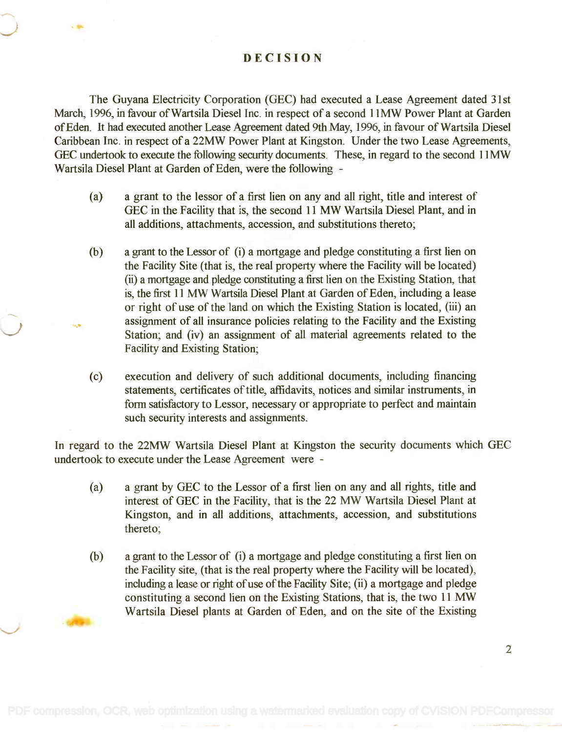DECISION

The Guyana Electricity Corporation (GEC) had executed a Lease Agreement dated 31st The Guyana Electricity Corporation (GEC) had executed a Lease Agreement dated 31st March, 1996, in favour of Wartsila Diesel Inc. in respect of a second 11MW Power Plant at Garden March, 1996, in favour ofWartsila Diesel Inc. in respect of a second IIMW Power Plant at Garden of Eden. It had executed another Lease Agreement dated 9th May, 1996, in favour of Wartsila Diesel of Eden. It had executed another Lease Agreement dated 9th May, 1996, in favour of Wartsila Diesel Caribbean Inc. in respect of a 22MW Power Plant at Kingston. Under the two Lease Agreements, Caribbean Inc. in respect of a 22MW Power Plant at Kingston. Under the two Lease Agreements, GEC undertook to execute the following security documents. These, in regard to the second 11MW GEC undertook to execute the following security documents. These, in regard to the second IIMW Wartsila Diesel Plant at Garden of Eden, were the following Wartsila Diesel Plant at Garden of Eden, were the following -

- (a) a grant to the lessor of a first lien on any and all right, title and interest of (a) a grant to the lessor of a first lien on any and all right, title and interest of GEC in the Facility that is, the second 11 MW Wartsila Diesel Plant, and in all additions, attachments, accession, and substitutions thereto; all additions, attachments, accession, and substitutions thereto;
- (b) a grant to the Lessor of (i) a mortgage and pledge constituting a first lien on a grant to the Lessor of (i) a mortgage and pledge constituting a first lien on the Facility Site (that is, the real property where the Facility will be located) the Facility Site (that is, the real property where the Facility will be located) (ii) a mortgage and pledge constituting a first lien on the Existing Station, that (ii) a mortgage and pledge constituting a first lien on the Existing Station, that is, the first 11 MW Wartsila Diesel Plant at Garden of Eden, including a lease is, the first 11 MW Wartsila Diesel Plant at Garden of Eden, including a lease or right of use of the land on which the Existing Station is located, (iii) an or right of use of the land on which the Existing Station is located, (iii) an assignment of all insurance policies relating to the Facility and the Existing assignment of all insurance policies relating to the Facility and the Existing Station; and (iv) an assignment of all material agreements related to the Station; and (iv) an assignment of all material agreements related to the Facility and Existing Station; Facility and Existing Station;
- (c) execution and delivery of such additional documents, including financing (c) execution and delivery of such additional documents, including financing statements, certificates of title, affidavits, notices and similar instruments, in statements, certificates of title, affidavits, notices and similar instruments, in form satisfactory to Lessor, necessary or appropriate to perfect and maintain form satisfactory to Lessor, necessary or appropriate to perfect and maintain such security interests and assignments. such security interests and assignments.

In regard to the 22MW Wartsila Diesel Plant at Kingston the security documents which GEC In regard to the 22MW Wartsila Diesel Plant at Kingston the security documents which GEC undertook to execute under the Lease Agreement were undertook to execute under the Lease Agreement were -

- (a) a grant by GEC to the Lessor of a first lien on any and all rights, title and (a) a grant by GEC to the Lessor of a first lien on any and all rights, title and interest of GEC in the Facility, that is the 22 MW Wartsila Diesel Plant at interest of GEC in the Facility, that is the 22 MW Wartsila Diesel Plant at Kingston, and in all additions, attachments, accession, and substitutions Kingston, and in all additions, attachments, accession, and substitutions thereto; thereto;
- (b) a grant to the Lessor of (i) a mortgage and pledge constituting a first lien on (b) a grant to the Lessor of (i) a mortgage and pledge constituting a first lien on the Facility site, (that is the real property where the Facility will be located), the Facility site, (that is the real property where the Facility will be located), including a lease or right of use of the Facility Site; (ii) a mortgage and pledge including a lease or right of use of the Facility Site; (ii) a mortgage and pledge constituting a second lien on the Existing Stations, that is, the two 11 MW constituting a second lien on the Existing Stations, that is, the two 11 MW Wartsila Diesel plants at Garden of Eden, and on the site of the Existing Wartsila Diesel plants at Garden of Eden, and on the site of the Existing

2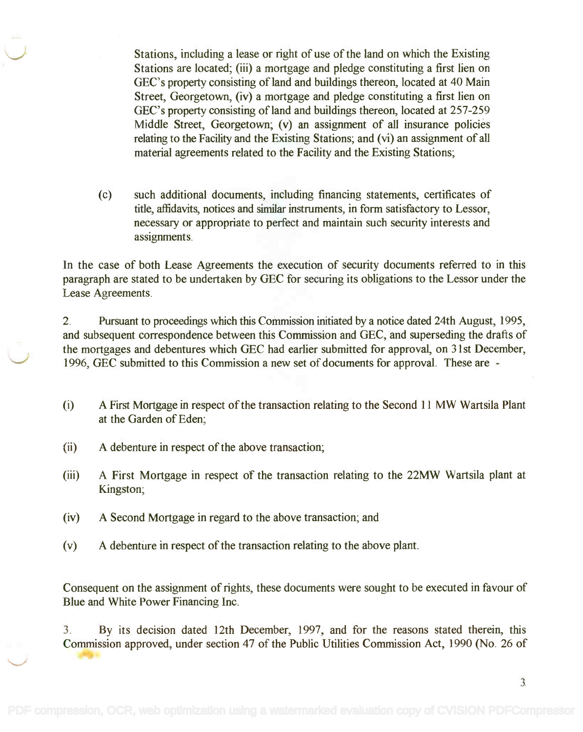Stations, including a lease or right of use of the land on which the Existing Stations, including a lease or right of use of the land on which the Existing Stations are located; (iii) a mortgage and pledge constituting a first lien on Stations are located; (iii) a mortgage and pledge constituting a first lien on GEC's property consisting of land and buildings thereon, located at 40 Main GEC's property consisting of land and buildings thereon, located at 40 Main Street, Georgetown, (iv) a mortgage and pledge constituting a first lien on Street, Georgetown, (iv) a mortgage and pledge constituting a first lien on GEC's property consisting of land and buildings thereon, located at 257-259 GEC's property consisting ofland and buildings thereon, located at 257-259 Middle Street, Georgetown; (v) an assignment of all insurance policies Middle Street, Georgetown; (v) an assignment of all insurance policies relating to the Facility and the Existing Stations; and (vi) an assignment of all material agreements related to the Facility and the Existing Stations; material agreements related to the Facility and the Existing Stations;

(c) such additional documents, including financing statements, certificates of (c) such additional documents, including financing statements, certificates of title, affidavits, notices and similar instruments, in form satisfactory to Lessor, necessary or appropriate to perfect and maintain such security interests and necessary or appropriate to perfect and maintain such security interests and assignments. assignments.

In the case of both Lease Agreements the execution of security documents referred to in this In the case of both Lease Agreements the execution of security documents referred to in this paragraph are stated to be undertaken by GEC for securing its obligations to the Lessor under the paragraph are stated to be undertaken by GEC for securing its obligations to the Lessor under the Lease Agreements. Lease Agreements.

2. Pursuant to proceedings which this Commission initiated by a notice dated 24th August, 1995, 2. Pursuant to proceedings which this Commission initiated by a notice dated 24th August, 1995, and subsequent correspondence between this Commission and GEC, and superseding the drafts of the mortgages and debentures which GEC had earlier submitted for approval, on 31st December, the mortgages and debentures which GEC had earlier submitted for approval, on 31st December, 1996, GEC submitted to this Commission a new set of documents for approval. These are - 1996, GEC submitted to this Commission a new set of documents for approval. These are -

- (i) A First Mortgage in respect of the transaction relating to the Second 11 MW Wartsila Plant (i) A First Mortgage in respect of the transaction relating to the Second 11 MW Wartsila Plant at the Garden of Eden; at the Garden of Eden;
- (ii) A debenture in respect of the above transaction;
- (iii) A First Mortgage in respect of the transaction relating to the 22MW Wartsila plant at (iii) A First Mortgage in respect of the transaction relating to the 22MW Wartsila plant at Kingston; Kingston;
- (iv) A Second Mortgage in regard to the above transaction; and
- (v) A debenture in respect of the transaction relating to the above plant.

Consequent on the assignment of rights, these documents were sought to be executed in favour of Consequent on the assignment of rights, these documents were sought to be executed in favour of Blue and White Power Financing Inc. Blue and White Power Financing Inc.

3. By its decision dated 12th December, 1997, and for the reasons stated therein, this 3. By its decision dated 12th December, 1997, and for the reasons stated therein, this Commission approved, under section 47 of the Public Utilities Commission Act, 1990 (No. 26 of Commission approved, under section 47 of the Public Utilities Commission Act, 1990 (No. 26 of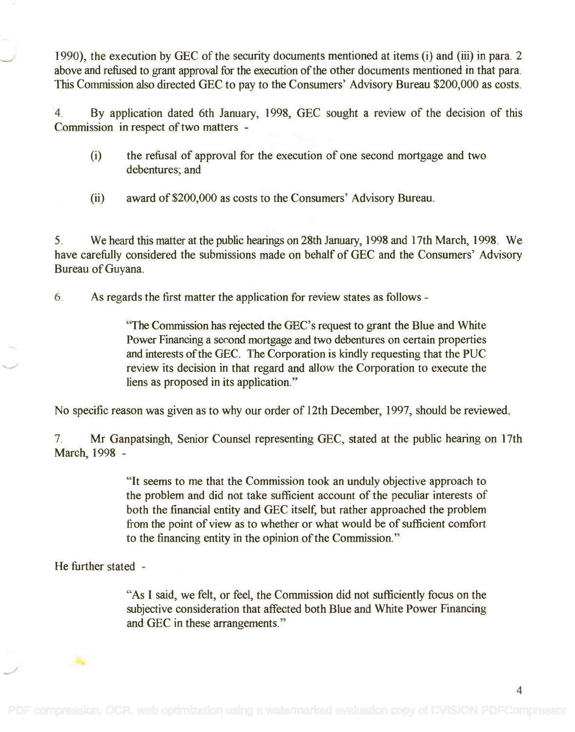1990), the execution by GEC of the security documents mentioned at items (i) and (iii) in para. 2 1990), the execution by GEC of the security documents mentioned at items (i) and (iii) in para. 2 above and refused to grant approval for the execution of the other documents mentioned in that para. above and refused to grant approval for the execution of the other documents mentioned in that para. This Commission also directed GEC to pay to the Consumers' Advisory Bureau \$200,000 as costs. This Commission also directed GEC to pay to the Consumers' Advisory Bureau \$200,000 as costs.

4. By application dated 6th January, 1998, GEC sought a review of the decision of this 4. By application dated 6th January, 1998, GEC sought a review of the decision of this Commission in respect of two matters Commission in respect of two matters -

- (i) the refusal of approval for the execution of one second mortgage and two (i) the refusal of approval for the execution of one second mortgage and two debentures; and debentures; and
- (ii) award of \$200,000 as costs to the Consumers' Advisory Bureau.

5. We heard this matter at the public hearings on 28th January, 1998 and 17th March, 1998. We 5. We heard this matter atthe public hearings on 28th January, 1998 and 17th March, 1998. We have carefully considered the submissions made on behalf of GEC and the Consumers' Advisory have carefully considered the submissions made on behalf of GEC and the Consumers' Advisory Bureau of Guyana. Bureau of Guyana.

6. As regards the first matter the application for review states as follows

"The Commission has rejected the GEC's request to grant the Blue and White "The Commission has rejected the GEC's request to grant the Blue and White Power Financing a second mortgage and two debentures on certain properties Power Financing a second mortgage and two debentures on certain properties and interests of the GEC. The Corporation is kindly requesting that the PUC review its decision in that regard and allow the Corporation to execute the liens as proposed in its application." liens as proposed in its application."

No specific reason was given as to why our order of 12th December, 1997, should be reviewed.

7. Mr Ganpatsingh, Senior Counsel representing GEC, stated at the public hearing on 17th 7. Mr Ganpatsingh, Senior Counsel representing GEC, stated at the public hearing on 17th March, 1998 March, 1998 -

> "It seems to me that the Commission took an unduly objective approach to "It seems to me that the Commission took an unduly objective approach to the problem and did not take sufficient account of the peculiar interests of the problem and did not take sufficient account of the peculiar interests of both the financial entity and GEC itself, but rather approached the problem both the financial entity and GEC itself, but rather approached the problem from the point of view as to whether or what would be of sufficient comfort from the point of view as to whether or what would be of sufficient comfort to the financing entity in the opinion of the Commission." to the financing entity in the opinion of the Commission."

He further stated -

"As I said, we felt, or feel, the Commission did not sufficiently focus on the "As I said, we felt, or feel, the Commission did not sufficiently focus on the subjective consideration that affected both Blue and White Power Financing subjective consideration that affected both Blue and White Power Financing and GEC in these arrangements." and GEC in these arrangements."

4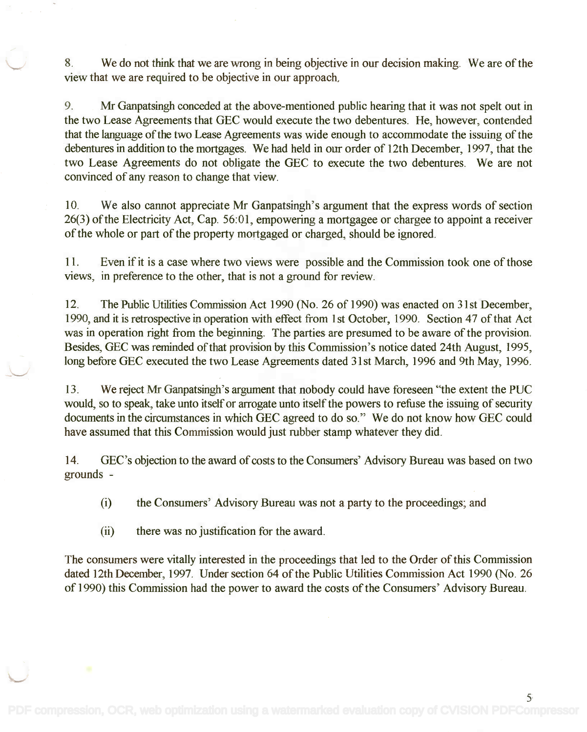8. We do not think that we are wrong in being objective in our decision making. We are of the view that we are required to be objective in our approach, view that we are required to be objective in our approach.

9. Mr Ganpatsingh conceded at the above-mentioned public hearing that it was not spelt out in 9. Mr Ganpatsingh conceded at the above-mentioned public hearing that it was not spelt out in the two Lease Agreements that GEC would execute the two debentures. He, however, contended the two Lease Agreements that GEC would execute the two debentures. He, however, contended that the language of the two Lease Agreements was wide enough to accommodate the issuing of the that the language of the two Lease Agreements was wide enough to accommodate the issuing of the debentures in addition to the mortgages. We had held in our order of 12th December, 1997, that the debentures in addition to the mortgages. We had held in our order of 12th December, 1997, that the two Lease Agreements do not obligate the GEC to execute the two debentures. We are not two Lease Agreements do not obligate the GEC to execute the two debentures. We are not convinced of any reason to change that view. convinced of any reason to change that view.

10. We also cannot appreciate Mr Ganpatsingh's argument that the express words of section 10. We also cannot appreciate Mr Ganpatsingh's argument that the express words of section 26(3) of the Electricity Act, Cap. 56:01, empowering a mortgagee or chargee to appoint a receiver 26(3) of the Electricity Act, Cap. 56:01, empowering a mortgagee or chargee to appoint a receiver of the whole or part of the property mortgaged or charged, should be ignored. of the whole or part of the property mortgaged or charged, should be ignored.

11. Even if it is a case where two views were possible and the Commission took one of those 11. Even if it is a case where two views were possible and the Commission took one of those views, in preference to the other, that is not a ground for review. VIews, in preference to the other, that is not a ground for review.

12. The Public Utilities Commission Act 1990 (No. 26 of 1990) was enacted on 31st December, 12. The Public Utilities Commission Act 1990 (No. 26 of 1990) was enacted on 31st December, 1990, and it is retrospective in operation with effect from 1st October, 1990. Section 47 of that Act 1990, and it is retrospective in operation with effect from 1st October, 1990. Section 47 of that Act was in operation right from the beginning. The parties are presumed to be aware of the provision. was in operation right from the beginning. The parties are presumed to be aware of the provision. Besides, GEC was reminded of that provision by this Commission's notice dated 24th August, 1995, Besides, GEC was reminded of that provision by this Commission's notice dated 24th August, 1995, long before GEC executed the two Lease Agreements dated 31st March, 1996 and 9th May, 1996. long before GEC executed the two Lease Agreements dated 31st March, 1996 and 9th May, 1996.

13. We reject Mr Ganpatsingh's argument that nobody could have foreseen "the extent the PUC 13. We reject Mr Ganpatsingh's argument that nobody could have foreseen "the extent the PUC would, so to speak, take unto itself or arrogate unto itself the powers to refuse the issuing of security would, so to speak, take unto itself or arrogate unto itself the powers to refuse the issuing of security documents in the circumstances in which GEC agreed to do so." We do not know how GEC could documents in the circumstances in which GEC agreed to do so." We do not know how GEC could have assumed that this Commission would just rubber stamp whatever they did. have assumed that this Commission would just rubber stamp whatever they did.

14. GEC's objection to the award of costs to the Consumers' Advisory Bureau was based on two grounds grounds -

(i) the Consumers' Advisory Bureau was not a party to the proceedings; and

(ii) there was no justification for the award.

The consumers were vitally interested in the proceedings that led to the Order of this Commission The consumers were vitally interested in the proceedings that led to the Order of this Commission dated 12th December, 1997. Under section 64 of the Public Utilities Commission Act 1990 (No. 26 dated 12th December, 1997. Under section 64 of the Public Utilities Commission Act 1990 (No. 26 of 1990) this Commission had the power to award the costs of the Consumers' Advisory Bureau. of 1990) this Commission had the power to award the costs of the Consumers' Advisory Bureau.